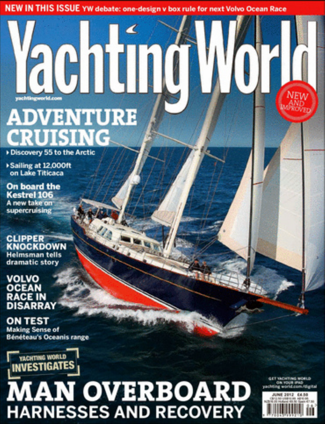NEW IN THIS ISSUE YW debate: one-design v box rule for next Volvo Ocean Race

# **rachtin ADVENTURE CRUISING**

Discovery 55 to the Arctic

Sailing at 12,000ft on Lake Titicaca

**On board the Kestrel 106** A new take on supercruising

**CLIPPER KNOCKDOWN Helmsman tells** dramatic story

**VOLVO OCEAN RACE IN ISADDAY** 

**ON TEST Making Sense of Bénéteau's Oceanis range** 



# **MAN OVERBOARD**<br>HARNESSES AND RECOVERY

**NEW** 

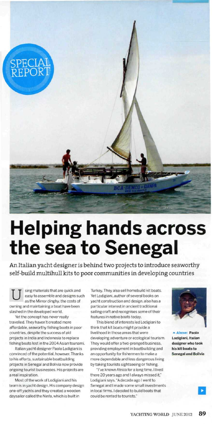

## **Helping hands across the sea to Senegal**

An Italian yacht designer is behind two projects to introduce seaworthy self-build multihull kits to poor communities in developing countries

U sing materials that are quick and easy to assemble and designs such as the Mirror dinghy, the costs of owning and maintaining a boat have been slashed in the developed world.

Yet the concept has never really travelled. They haven't created more affordable, seaworthy fishing boats in poor countries, despite the success of aid projects in India and Indonesia to replace fishing boats lost in the 2004 Asian tsunami.

Italian yacht designer Paolo Lodigiani is convinced of the potential, however. Thanks to his efforts, sustainable boatbuilding projects in Senegal and Bolivia now provide ongoing tourist businesses. His projects are a real inspiration.

Most of the work of Lodigiani and his team is in yacht design. His company design one-off yachts and they created a wooden daysailer called the Ninfa, which is built in

Turkey. They also sell homebuild kit boats. Yet Lodigiani. author of several books on yacht construction and design, also has a particular interest in ancient traditional sailing craft and recognises some of their features in native boats today.

This blend of interests led Lodigiani to think that kit boats might provide a livelihood in those areas that were developing adventure or ecological tourism. They would offer a two-pronged business, providing employment in boatbuilding and an opportunity for fishermen to make a more dependable and less dangerous living by taking tourists sightseeing or fishing.

"I've known Africa for a long time. I lived there 20 years ago and I always missed it," Lodigiani says. "A decade ago I went to Senegal and I made some small investments in local firms. I decided to build boats that could be rented to tourists."



**^ Above: Paolo Lodigiani, Italian designer who took his kit boats to Senegal and Bolivia**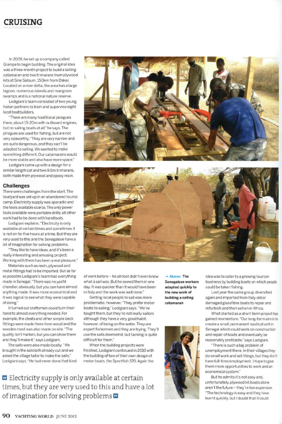## CRUISING

In 2009. he set up a company called Gianipa to begin building. The original idea was a three-month project to build a sailing catamaran and two trimarans from plywood kits at Sine Saloum. 150km from Dakar. Located on a river delta, the area has a large lagoon, numerous islands and mangrove swamps and is a national nature reserve.

Lodigiani's team consisted of two young Italian partners to train and supervise eight local boatbuilders.

"There are many traditional pirogues there, about 15-20m with outboard engines, but no sailing boats at all." he says. The pirogues are used for fishing, but are not very seaworthy. "They are very narrow and are quite dangerous, and they can't be adapted to sailing. We wanted to make something different. Our catamarans would be more stable and also have more space."

Lodigiani came up with a design for a similar length cat and two 9.5m trimarans, both made from plywood and epoxy resin.

#### **Challenges**

There were challenges from the start. The boatyard was set up in an abandoned tourist camp. Electricity supply was sporadic and the tools available scarce. The only power tools available were portable drills; all other work had to be done with handtools.

Lodigiani explains: "Electricity is only available at certain times and sometimes it is not on for five hours at a time. But they are very used to this and the Senegalese have a lot of imagination for solving problems.

"They like to have ideas, and it's been a really interesting and amusing project. Working with them has been a real pleasure."

Materials such as resin, plywood and metal fittings had to be imported. But as far as possible Lodigiani's team had everything made in Senegal. "There was no yacht chandler, obviously, but you can have almost anything made. It was more economical and it was logical to see what they were capable of doing."

It turned out craftsmen could turn their hand to almost everything needed. For example, the cleats and other simple deck fittings were made there from wood and the wooden mast was also made on site. "The quality isn't Harken, but you can show them and they'll make it," says Lodigiani.

The sails were also made locally. "We brought in the sailcloth already cut and we asked the village tailor to make the sails." Lodigiani says. "He had never done that kind





of work before - he almost didn't even know what a sail was. But he sewed them in one day. It was quicker than it would have been in Italy and the work was well done."

Getting local people to sail was more problematic, however. "They prefer motor boats to sailing," Lodigiani says. "We've taught them, but they're not really sailors although they have a very good habit, however, of being on the water. They are expert fishermen and they are trying. They'll use the sails downwind, but tacking is quite difficult for them."

When the building projects were finished, Lodigiani continued in 2010 with the building of two of their own design of motor boats, the Sportfish 570. Again the

**•»• Above: The Senegalese workers adapted quickly to the new work of building a sailing catamaran**



idea was to cater to a growing tourism business by building boats on which people could be taken fishing.

Last year the same group diversified again and imported from Italy old or damaged glassfibre boats to repair and refurbish and then sell on in Africa.

What started as a short-term project has gained momentum. "Our long-term aim is to create a small permanent nautical unit in Senegal which could work on construction and repair of boats and eventually be reasonably profitable." says Lodigiani.

"There is such a big problem of unemployment there. In their villages they do small work and sell things, but they don't have full-time employment. I hope to give them more opportunities to work and an economical system."

But he admits it's not easy and. unfortunately, plywood kit boats alone aren't the future - they're too expensive. "The technology is easy and they have learnt quickly, but I doubt that it could

**D** Electricity supply is only available at certain times, but they are very used to this and have a lot of imagination for solving problems  $\blacksquare$